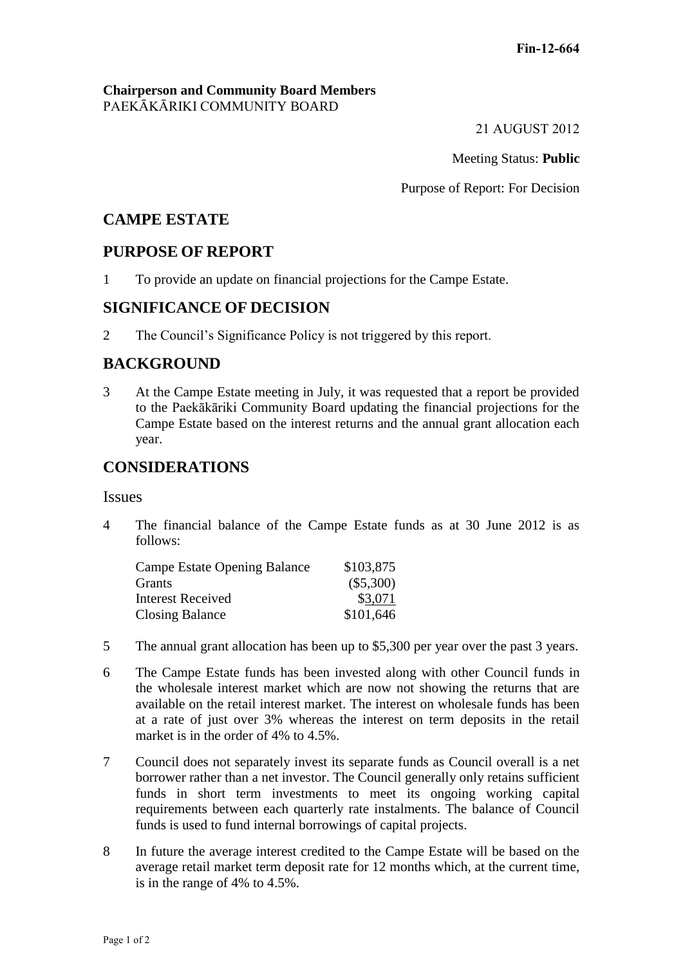### **Chairperson and Community Board Members** PAEKĀKĀRIKI COMMUNITY BOARD

21 AUGUST 2012

Meeting Status: **Public**

Purpose of Report: For Decision

# **CAMPE ESTATE**

## **PURPOSE OF REPORT**

1 To provide an update on financial projections for the Campe Estate.

## **SIGNIFICANCE OF DECISION**

2 The Council's Significance Policy is not triggered by this report.

# **BACKGROUND**

3 At the Campe Estate meeting in July, it was requested that a report be provided to the Paekākāriki Community Board updating the financial projections for the Campe Estate based on the interest returns and the annual grant allocation each year.

# **CONSIDERATIONS**

## **Issues**

4 The financial balance of the Campe Estate funds as at 30 June 2012 is as follows:

| Campe Estate Opening Balance | \$103,875   |
|------------------------------|-------------|
| Grants                       | $(\$5,300)$ |
| Interest Received            | \$3,071     |
| <b>Closing Balance</b>       | \$101,646   |

- 5 The annual grant allocation has been up to \$5,300 per year over the past 3 years.
- 6 The Campe Estate funds has been invested along with other Council funds in the wholesale interest market which are now not showing the returns that are available on the retail interest market. The interest on wholesale funds has been at a rate of just over 3% whereas the interest on term deposits in the retail market is in the order of 4% to 4.5%.
- 7 Council does not separately invest its separate funds as Council overall is a net borrower rather than a net investor. The Council generally only retains sufficient funds in short term investments to meet its ongoing working capital requirements between each quarterly rate instalments. The balance of Council funds is used to fund internal borrowings of capital projects.
- 8 In future the average interest credited to the Campe Estate will be based on the average retail market term deposit rate for 12 months which, at the current time, is in the range of 4% to 4.5%.